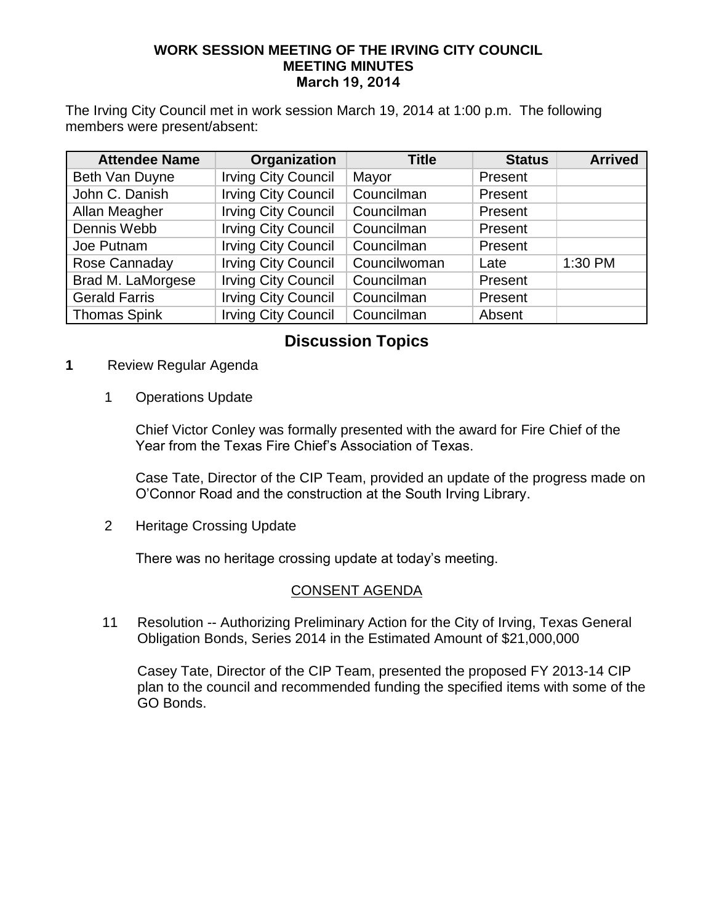#### **WORK SESSION MEETING OF THE IRVING CITY COUNCIL MEETING MINUTES March 19, 2014**

The Irving City Council met in work session March 19, 2014 at 1:00 p.m. The following members were present/absent:

| <b>Attendee Name</b> | Organization               | <b>Title</b> | <b>Status</b> | <b>Arrived</b> |
|----------------------|----------------------------|--------------|---------------|----------------|
| Beth Van Duyne       | <b>Irving City Council</b> | Mayor        | Present       |                |
| John C. Danish       | <b>Irving City Council</b> | Councilman   | Present       |                |
| Allan Meagher        | <b>Irving City Council</b> | Councilman   | Present       |                |
| Dennis Webb          | <b>Irving City Council</b> | Councilman   | Present       |                |
| Joe Putnam           | <b>Irving City Council</b> | Councilman   | Present       |                |
| Rose Cannaday        | <b>Irving City Council</b> | Councilwoman | Late          | 1:30 PM        |
| Brad M. LaMorgese    | <b>Irving City Council</b> | Councilman   | Present       |                |
| <b>Gerald Farris</b> | <b>Irving City Council</b> | Councilman   | Present       |                |
| <b>Thomas Spink</b>  | <b>Irving City Council</b> | Councilman   | Absent        |                |

# **Discussion Topics**

- **1** Review Regular Agenda
	- 1 Operations Update

 Chief Victor Conley was formally presented with the award for Fire Chief of the Year from the Texas Fire Chief's Association of Texas.

 Case Tate, Director of the CIP Team, provided an update of the progress made on O'Connor Road and the construction at the South Irving Library.

2 Heritage Crossing Update

There was no heritage crossing update at today's meeting.

#### CONSENT AGENDA

11 Resolution -- Authorizing Preliminary Action for the City of Irving, Texas General Obligation Bonds, Series 2014 in the Estimated Amount of \$21,000,000

 Casey Tate, Director of the CIP Team, presented the proposed FY 2013-14 CIP plan to the council and recommended funding the specified items with some of the GO Bonds.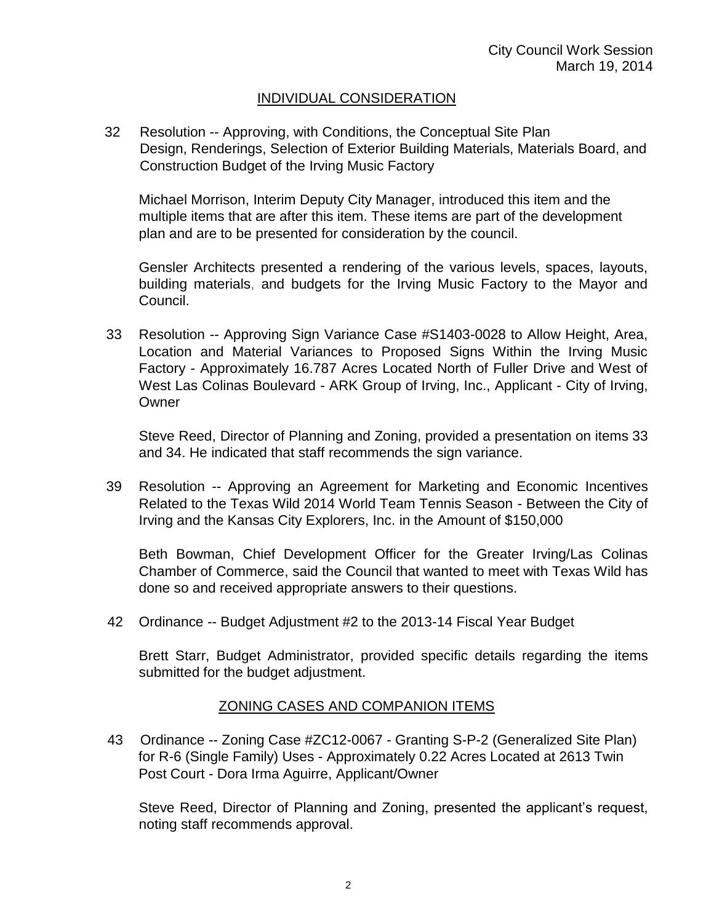### INDIVIDUAL CONSIDERATION

 32 Resolution -- Approving, with Conditions, the Conceptual Site Plan Design, Renderings, Selection of Exterior Building Materials, Materials Board, and Construction Budget of the Irving Music Factory

Michael Morrison, Interim Deputy City Manager, introduced this item and the multiple items that are after this item. These items are part of the development plan and are to be presented for consideration by the council.

Gensler Architects presented a rendering of the various levels, spaces, layouts, building materials, and budgets for the Irving Music Factory to the Mayor and Council.

33 Resolution -- Approving Sign Variance Case #S1403-0028 to Allow Height, Area, Location and Material Variances to Proposed Signs Within the Irving Music Factory - Approximately 16.787 Acres Located North of Fuller Drive and West of West Las Colinas Boulevard - ARK Group of Irving, Inc., Applicant - City of Irving, **Owner** 

Steve Reed, Director of Planning and Zoning, provided a presentation on items 33 and 34. He indicated that staff recommends the sign variance.

39 Resolution -- Approving an Agreement for Marketing and Economic Incentives Related to the Texas Wild 2014 World Team Tennis Season - Between the City of Irving and the Kansas City Explorers, Inc. in the Amount of \$150,000

Beth Bowman, Chief Development Officer for the Greater Irving/Las Colinas Chamber of Commerce, said the Council that wanted to meet with Texas Wild has done so and received appropriate answers to their questions.

42 Ordinance -- Budget Adjustment #2 to the 2013-14 Fiscal Year Budget

Brett Starr, Budget Administrator, provided specific details regarding the items submitted for the budget adjustment.

#### ZONING CASES AND COMPANION ITEMS

43Ordinance -- Zoning Case #ZC12-0067 - Granting S-P-2 (Generalized Site Plan) for R-6 (Single Family) Uses - Approximately 0.22 Acres Located at 2613 Twin Post Court - Dora Irma Aguirre, Applicant/Owner

 Steve Reed, Director of Planning and Zoning, presented the applicant's request, noting staff recommends approval.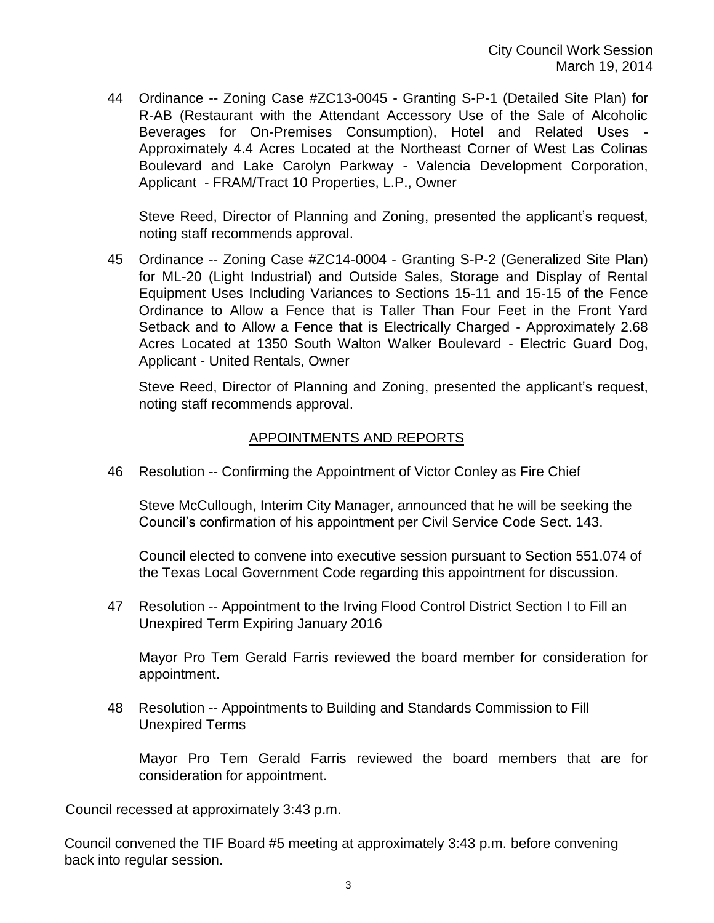44Ordinance -- Zoning Case #ZC13-0045 - Granting S-P-1 (Detailed Site Plan) for R-AB (Restaurant with the Attendant Accessory Use of the Sale of Alcoholic Beverages for On-Premises Consumption), Hotel and Related Uses - Approximately 4.4 Acres Located at the Northeast Corner of West Las Colinas Boulevard and Lake Carolyn Parkway - Valencia Development Corporation, Applicant - FRAM/Tract 10 Properties, L.P., Owner

Steve Reed, Director of Planning and Zoning, presented the applicant's request, noting staff recommends approval.

45 Ordinance -- Zoning Case #ZC14-0004 - Granting S-P-2 (Generalized Site Plan) for ML-20 (Light Industrial) and Outside Sales, Storage and Display of Rental Equipment Uses Including Variances to Sections 15-11 and 15-15 of the Fence Ordinance to Allow a Fence that is Taller Than Four Feet in the Front Yard Setback and to Allow a Fence that is Electrically Charged - Approximately 2.68 Acres Located at 1350 South Walton Walker Boulevard - Electric Guard Dog, Applicant - United Rentals, Owner

 Steve Reed, Director of Planning and Zoning, presented the applicant's request, noting staff recommends approval.

## APPOINTMENTS AND REPORTS

46 Resolution -- Confirming the Appointment of Victor Conley as Fire Chief

Steve McCullough, Interim City Manager, announced that he will be seeking the Council's confirmation of his appointment per Civil Service Code Sect. 143.

Council elected to convene into executive session pursuant to Section 551.074 of the Texas Local Government Code regarding this appointment for discussion.

47 Resolution -- Appointment to the Irving Flood Control District Section I to Fill an Unexpired Term Expiring January 2016

Mayor Pro Tem Gerald Farris reviewed the board member for consideration for appointment.

48 Resolution -- Appointments to Building and Standards Commission to Fill Unexpired Terms

Mayor Pro Tem Gerald Farris reviewed the board members that are for consideration for appointment.

Council recessed at approximately 3:43 p.m.

Council convened the TIF Board #5 meeting at approximately 3:43 p.m. before convening back into regular session.